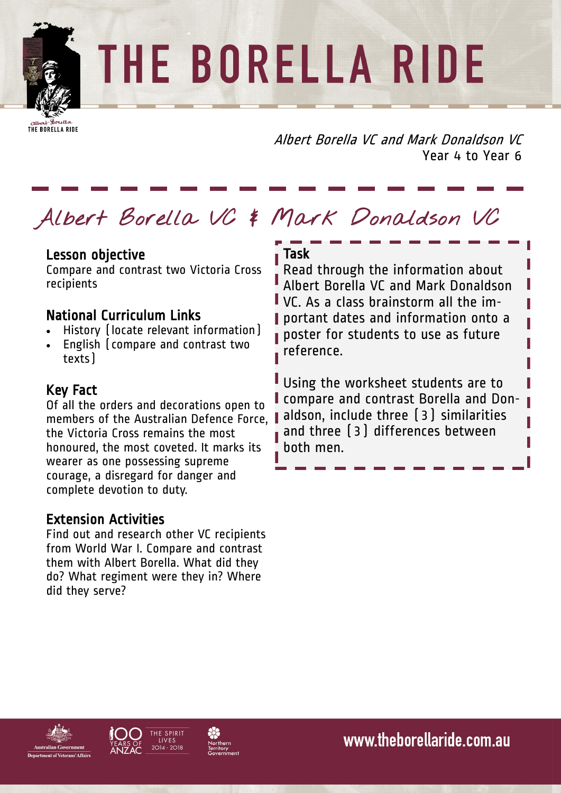# THE BORELLA RIDE

THE BORELLA RIDE

Albert Borella VC and Mark Donaldson VC Year 4 to Year 6

## **Albert Borella VC & Mark Donaldson VC**

#### Lesson objective

Compare and contrast two Victoria Cross recipients

#### National Curriculum Links

- History (locate relevant information)
- English (compare and contrast two texts)

#### Key Fact

Of all the orders and decorations open to members of the Australian Defence Force, the Victoria Cross remains the most honoured, the most coveted. It marks its wearer as one possessing supreme courage, a disregard for danger and complete devotion to duty.

#### Extension Activities

Find out and research other VC recipients from World War I. Compare and contrast them with Albert Borella. What did they do? What regiment were they in? Where did they serve?

#### Task

Read through the information about Albert Borella VC and Mark Donaldson VC. As a class brainstorm all the im-**I** portant dates and information onto a poster for students to use as future reference.

Using the worksheet students are to compare and contrast Borella and Donaldson, include three (3) similarities and three (3) differences between both men.





www.theborellaride.com.au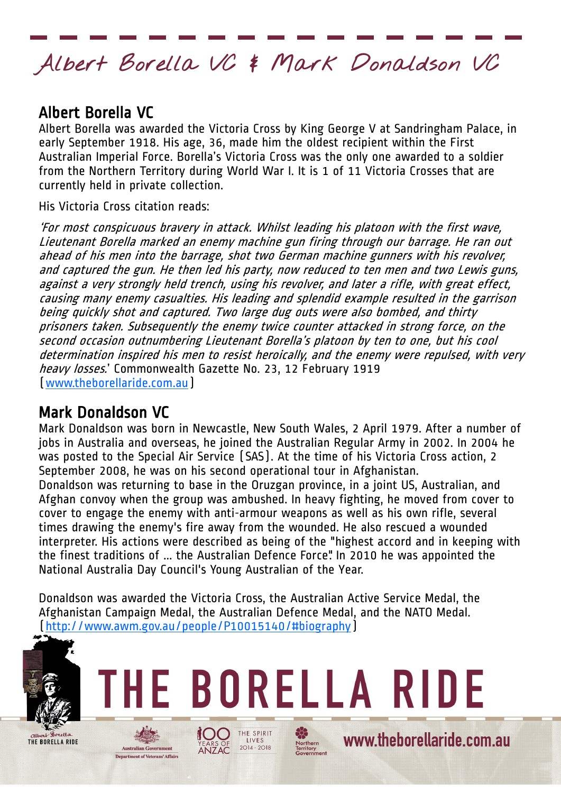### **Albert Borella VC & Mark Donaldson VC**

#### Albert Borella VC

Albert Borella was awarded the Victoria Cross by King George V at Sandringham Palace, in early September 1918. His age, 36, made him the oldest recipient within the First Australian Imperial Force. Borella's Victoria Cross was the only one awarded to a soldier from the Northern Territory during World War I. It is 1 of 11 Victoria Crosses that are currently held in private collection.

His Victoria Cross citation reads:

'For most conspicuous bravery in attack. Whilst leading his platoon with the first wave, Lieutenant Borella marked an enemy machine gun firing through our barrage. He ran out ahead of his men into the barrage, shot two German machine gunners with his revolver, and captured the gun. He then led his party, now reduced to ten men and two Lewis guns, against a very strongly held trench, using his revolver, and later a rifle, with great effect, causing many enemy casualties. His leading and splendid example resulted in the garrison being quickly shot and captured. Two large dug outs were also bombed, and thirty prisoners taken. Subsequently the enemy twice counter attacked in strong force, on the second occasion outnumbering Lieutenant Borella's platoon by ten to one, but his cool determination inspired his men to resist heroically, and the enemy were repulsed, with very heavy losses.' Commonwealth Gazette No. 23, 12 February 1919 ([www.theborellaride.com.au\)](http://www.theborellaride.com.au)

#### Mark Donaldson VC

Mark Donaldson was born in Newcastle, New South Wales, 2 April 1979. After a number of jobs in Australia and overseas, he joined the Australian Regular Army in 2002. In 2004 he was posted to the Special Air Service (SAS). At the time of his Victoria Cross action, 2 September 2008, he was on his second operational tour in Afghanistan. Donaldson was returning to base in the Oruzgan province, in a joint US, Australian, and Afghan convoy when the group was ambushed. In heavy fighting, he moved from cover to cover to engage the enemy with anti-armour weapons as well as his own rifle, several times drawing the enemy's fire away from the wounded. He also rescued a wounded interpreter. His actions were described as being of the "highest accord and in keeping with the finest traditions of ... the Australian Defence Force". In 2010 he was appointed the National Australia Day Council's Young Australian of the Year.

Donaldson was awarded the Victoria Cross, the Australian Active Service Medal, the Afghanistan Campaign Medal, the Australian Defence Medal, and the NATO Medal. ([http://www.awm.gov.au/people/P10015140/#biography\)](http://www.awm.gov.au/people/P10015140/#biography)

 $2014 - 2018$ 

YEARS OF<br>**ANZAC** 

**Australian Government Department of Veterans' Affairs** 





Northern<br>Territory<br>Governme